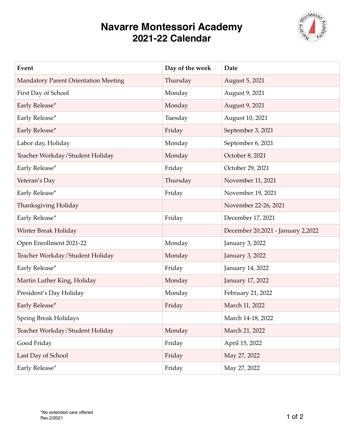## **Navarre Montessori Academy 2021-22 Calendar**



| Event                                       | Day of the week | Date                              |
|---------------------------------------------|-----------------|-----------------------------------|
| <b>Mandatory Parent Orientation Meeting</b> | Thursday        | August 5, 2021                    |
| First Day of School                         | Monday          | August 9, 2021                    |
| Early Release*                              | Monday          | August 9, 2021                    |
| Early Release*                              | Tuesday         | August 10, 2021                   |
| Early Release*                              | Friday          | September 3, 2021                 |
| Labor day, Holiday                          | Monday          | September 6, 2021                 |
| Teacher Workday/Student Holiday             | Monday          | October 8, 2021                   |
| Early Release*                              | Friday          | October 29, 2021                  |
| Veteran's Day                               | Thursday        | November 11, 2021                 |
| Early Release*                              | Friday          | November 19, 2021                 |
| Thanksgiving Holiday                        |                 | November 22-26, 2021              |
| Early Release*                              | Friday          | December 17, 2021                 |
| Winter Break Holiday                        |                 | December 20,2021 - January 2,2022 |
| Open Enrollment 2021-22                     | Monday          | January 3, 2022                   |
| Teacher Workday/Student Holiday             | Monday          | January 3, 2022                   |
| Early Release*                              | Friday          | January 14, 2022                  |
| Martin Luther King, Holiday                 | Monday          | January 17, 2022                  |
| President's Day Holiday                     | Monday          | February 21, 2022                 |
| Early Release*                              | Friday          | March 11, 2022                    |
| <b>Spring Break Holidays</b>                |                 | March 14-18, 2022                 |
| Teacher Workday/Student Holiday             | Monday          | March 21, 2022                    |
| Good Friday                                 | Friday          | April 15, 2022                    |
| Last Day of School                          | Friday          | May 27, 2022                      |
| Early Release*                              | Friday          | May 27, 2022                      |